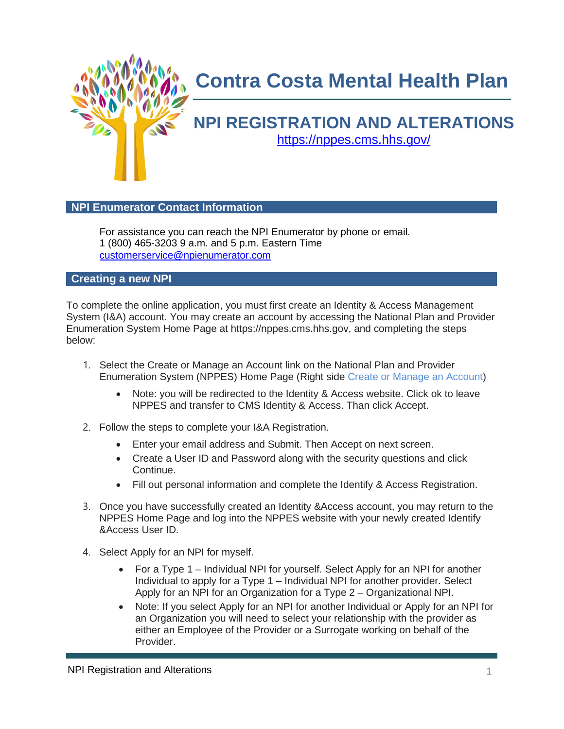

## **Contra Costa Mental Health Plan**

# **NPI REGISTRATION AND ALTERATIONS**

<https://nppes.cms.hhs.gov/>

### **NPI Enumerator Contact Information**

For assistance you can reach the NPI Enumerator by phone or email. 1 (800) 465-3203 9 a.m. and 5 p.m. Eastern Time [customerservice@npienumerator.com](mailto:customerservice@npienumerator.com)

**Creating a new NPI**

To complete the online application, you must first create an Identity & Access Management System (I&A) account. You may create an account by accessing the National Plan and Provider Enumeration System Home Page at https://nppes.cms.hhs.gov, and completing the steps below:

- 1. Select the Create or Manage an Account link on the National Plan and Provider Enumeration System (NPPES) Home Page (Right side Create or Manage an Account)
	- Note: you will be redirected to the Identity & Access website. Click ok to leave NPPES and transfer to CMS Identity & Access. Than click Accept.
- 2. Follow the steps to complete your I&A Registration.
	- Enter your email address and Submit. Then Accept on next screen.
	- Create a User ID and Password along with the security questions and click Continue.
	- Fill out personal information and complete the Identify & Access Registration.
- 3. Once you have successfully created an Identity &Access account, you may return to the NPPES Home Page and log into the NPPES website with your newly created Identify &Access User ID.
- 4. Select Apply for an NPI for myself.
	- For a Type 1 Individual NPI for yourself. Select Apply for an NPI for another Individual to apply for a Type 1 – Individual NPI for another provider. Select Apply for an NPI for an Organization for a Type 2 – Organizational NPI.
	- Note: If you select Apply for an NPI for another Individual or Apply for an NPI for an Organization you will need to select your relationship with the provider as either an Employee of the Provider or a Surrogate working on behalf of the Provider.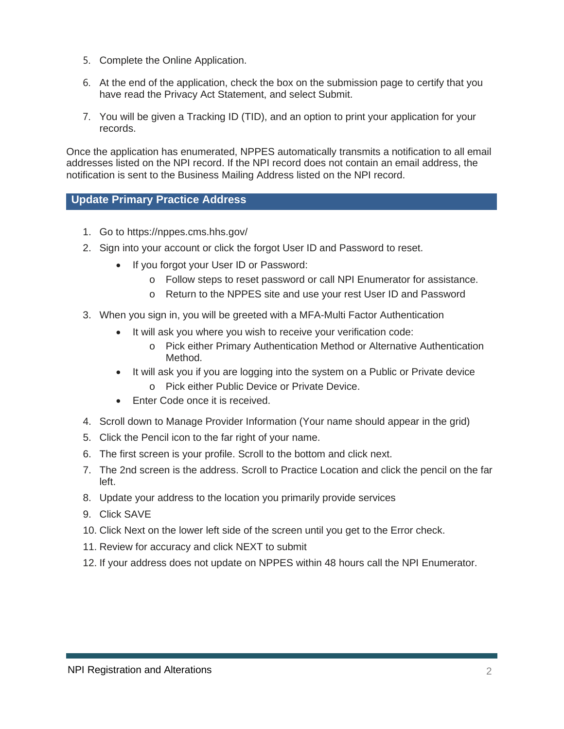- 5. Complete the Online Application.
- 6. At the end of the application, check the box on the submission page to certify that you have read the Privacy Act Statement, and select Submit.
- 7. You will be given a Tracking ID (TID), and an option to print your application for your records.

Once the application has enumerated, NPPES automatically transmits a notification to all email addresses listed on the NPI record. If the NPI record does not contain an email address, the notification is sent to the Business Mailing Address listed on the NPI record.

### **Update Primary Practice Address**

- 1. Go to<https://nppes.cms.hhs.gov/>
- 2. Sign into your account or click the forgot User ID and Password to reset.
	- If you forgot your User ID or Password:
		- o Follow steps to reset password or call NPI Enumerator for assistance.
		- o Return to the NPPES site and use your rest User ID and Password
- 3. When you sign in, you will be greeted with a MFA-Multi Factor Authentication
	- It will ask you where you wish to receive your verification code:
		- o Pick either Primary Authentication Method or Alternative Authentication Method.
	- It will ask you if you are logging into the system on a Public or Private device
		- o Pick either Public Device or Private Device.
	- Enter Code once it is received.
- 4. Scroll down to Manage Provider Information (Your name should appear in the grid)
- 5. Click the Pencil icon to the far right of your name.
- 6. The first screen is your profile. Scroll to the bottom and click next.
- 7. The 2nd screen is the address. Scroll to Practice Location and click the pencil on the far left.
- 8. Update your address to the location you primarily provide services
- 9. Click SAVE
- 10. Click Next on the lower left side of the screen until you get to the Error check.
- 11. Review for accuracy and click NEXT to submit
- 12. If your address does not update on NPPES within 48 hours call the NPI Enumerator.